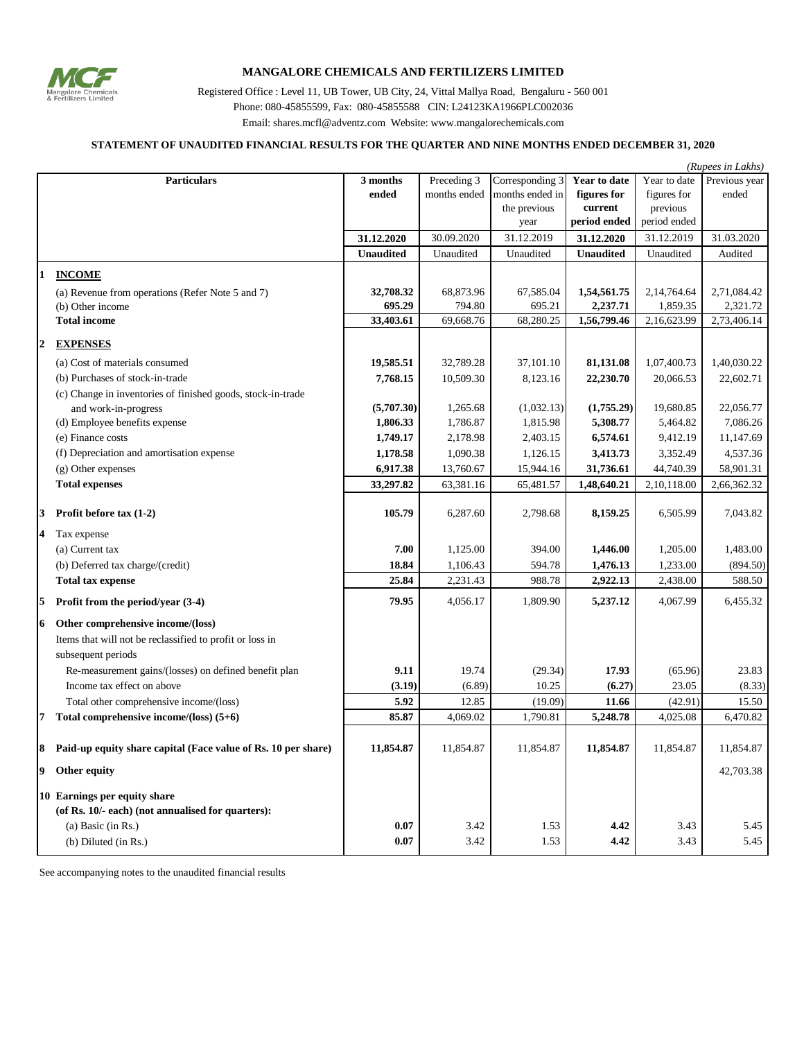

## **MANGALORE CHEMICALS AND FERTILIZERS LIMITED**

Registered Office : Level 11, UB Tower, UB City, 24, Vittal Mallya Road, Bengaluru - 560 001 Phone: 080-45855599, Fax: 080-45855588 CIN: L24123KA1966PLC002036 Email: shares.mcfl@adventz.com Website: www.mangalorechemicals.com

## **STATEMENT OF UNAUDITED FINANCIAL RESULTS FOR THE QUARTER AND NINE MONTHS ENDED DECEMBER 31, 2020**

|              |                                                                                   |                  |              |                 |                  |              | (Rupees in Lakhs) |
|--------------|-----------------------------------------------------------------------------------|------------------|--------------|-----------------|------------------|--------------|-------------------|
|              | <b>Particulars</b>                                                                | 3 months         | Preceding 3  | Corresponding 3 | Year to date     | Year to date | Previous year     |
|              |                                                                                   | ended            | months ended | months ended in | figures for      | figures for  | ended             |
|              |                                                                                   |                  |              | the previous    | current          | previous     |                   |
|              |                                                                                   |                  |              | year            | period ended     | period ended |                   |
|              |                                                                                   | 31.12.2020       | 30.09.2020   | 31.12.2019      | 31.12.2020       | 31.12.2019   | 31.03.2020        |
|              |                                                                                   | <b>Unaudited</b> | Unaudited    | Unaudited       | <b>Unaudited</b> | Unaudited    | Audited           |
| $\mathbf{1}$ | <b>INCOME</b>                                                                     |                  |              |                 |                  |              |                   |
|              | (a) Revenue from operations (Refer Note 5 and 7)                                  | 32,708.32        | 68,873.96    | 67,585.04       | 1,54,561.75      | 2,14,764.64  | 2,71,084.42       |
|              | (b) Other income                                                                  | 695.29           | 794.80       | 695.21          | 2,237.71         | 1,859.35     | 2,321.72          |
|              | <b>Total income</b>                                                               | 33,403.61        | 69,668.76    | 68,280.25       | 1,56,799.46      | 2,16,623.99  | 2,73,406.14       |
| $\mathbf{2}$ | <b>EXPENSES</b>                                                                   |                  |              |                 |                  |              |                   |
|              | (a) Cost of materials consumed                                                    | 19,585.51        | 32,789.28    | 37,101.10       | 81,131.08        | 1,07,400.73  | 1,40,030.22       |
|              | (b) Purchases of stock-in-trade                                                   | 7,768.15         | 10,509.30    | 8,123.16        | 22,230.70        | 20,066.53    | 22,602.71         |
|              | (c) Change in inventories of finished goods, stock-in-trade                       |                  |              |                 |                  |              |                   |
|              | and work-in-progress                                                              | (5,707.30)       | 1,265.68     | (1,032.13)      | (1,755.29)       | 19,680.85    | 22,056.77         |
|              | (d) Employee benefits expense                                                     | 1,806.33         | 1,786.87     | 1,815.98        | 5,308.77         | 5,464.82     | 7,086.26          |
|              | (e) Finance costs                                                                 | 1,749.17         | 2,178.98     | 2,403.15        | 6,574.61         | 9,412.19     | 11,147.69         |
|              | (f) Depreciation and amortisation expense                                         | 1,178.58         | 1,090.38     | 1,126.15        | 3,413.73         | 3,352.49     | 4,537.36          |
|              | $(g)$ Other expenses                                                              | 6,917.38         | 13,760.67    | 15,944.16       | 31,736.61        | 44,740.39    | 58,901.31         |
|              | <b>Total expenses</b>                                                             | 33,297.82        | 63,381.16    | 65,481.57       | 1,48,640.21      | 2,10,118.00  | 2,66,362.32       |
|              | 3 Profit before $\text{tax}(1-2)$                                                 | 105.79           | 6,287.60     | 2,798.68        | 8,159.25         | 6,505.99     | 7,043.82          |
|              |                                                                                   |                  |              |                 |                  |              |                   |
|              | 4 Tax expense                                                                     |                  |              |                 |                  |              |                   |
|              | (a) Current tax                                                                   | 7.00             | 1,125.00     | 394.00          | 1,446.00         | 1,205.00     | 1,483.00          |
|              | (b) Deferred tax charge/(credit)                                                  | 18.84            | 1,106.43     | 594.78          | 1,476.13         | 1,233.00     | (894.50)          |
|              | <b>Total tax expense</b>                                                          | 25.84            | 2,231.43     | 988.78          | 2,922.13         | 2,438.00     | 588.50            |
| 5            | Profit from the period/year (3-4)                                                 | 79.95            | 4,056.17     | 1,809.90        | 5,237.12         | 4,067.99     | 6,455.32          |
|              | 6 Other comprehensive income/(loss)                                               |                  |              |                 |                  |              |                   |
|              | Items that will not be reclassified to profit or loss in                          |                  |              |                 |                  |              |                   |
|              | subsequent periods                                                                |                  |              |                 |                  |              |                   |
|              | Re-measurement gains/(losses) on defined benefit plan                             | 9.11             | 19.74        | (29.34)         | 17.93            | (65.96)      | 23.83             |
|              | Income tax effect on above                                                        | (3.19)           | (6.89)       | 10.25           | (6.27)           | 23.05        | (8.33)            |
|              | Total other comprehensive income/(loss)                                           | 5.92             | 12.85        | (19.09)         | 11.66            | (42.91)      | 15.50             |
|              | 7 Total comprehensive income/(loss) $(5+6)$                                       | 85.87            | 4,069.02     | 1,790.81        | 5,248.78         | 4,025.08     | 6,470.82          |
|              | 8 Paid-up equity share capital (Face value of Rs. 10 per share)                   | 11,854.87        | 11,854.87    | 11,854.87       | 11,854.87        | 11,854.87    | 11,854.87         |
|              | 9 Other equity                                                                    |                  |              |                 |                  |              | 42,703.38         |
|              | 10 Earnings per equity share<br>(of Rs. 10/- each) (not annualised for quarters): |                  |              |                 |                  |              |                   |
|              | (a) Basic (in $Rs.$ )                                                             | 0.07             | 3.42         | 1.53            | 4.42             | 3.43         | 5.45              |
|              | (b) Diluted (in Rs.)                                                              | 0.07             | 3.42         | 1.53            | 4.42             | 3.43         | 5.45              |

See accompanying notes to the unaudited financial results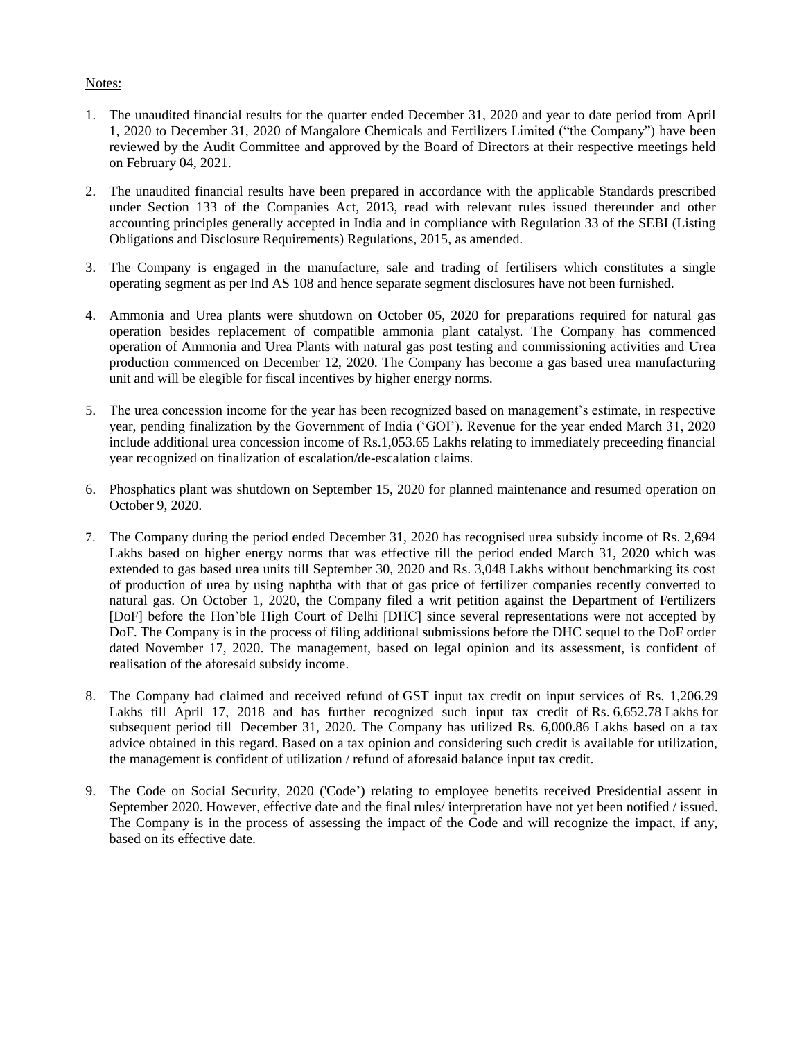## Notes:

- 1. The unaudited financial results for the quarter ended December 31, 2020 and year to date period from April 1, 2020 to December 31, 2020 of Mangalore Chemicals and Fertilizers Limited ("the Company") have been reviewed by the Audit Committee and approved by the Board of Directors at their respective meetings held on February 04, 2021.
- 2. The unaudited financial results have been prepared in accordance with the applicable Standards prescribed under Section 133 of the Companies Act, 2013, read with relevant rules issued thereunder and other accounting principles generally accepted in India and in compliance with Regulation 33 of the SEBI (Listing Obligations and Disclosure Requirements) Regulations, 2015, as amended.
- 3. The Company is engaged in the manufacture, sale and trading of fertilisers which constitutes a single operating segment as per Ind AS 108 and hence separate segment disclosures have not been furnished.
- 4. Ammonia and Urea plants were shutdown on October 05, 2020 for preparations required for natural gas operation besides replacement of compatible ammonia plant catalyst. The Company has commenced operation of Ammonia and Urea Plants with natural gas post testing and commissioning activities and Urea production commenced on December 12, 2020. The Company has become a gas based urea manufacturing unit and will be elegible for fiscal incentives by higher energy norms.
- 5. The urea concession income for the year has been recognized based on management's estimate, in respective year, pending finalization by the Government of India ('GOI'). Revenue for the year ended March 31, 2020 include additional urea concession income of Rs.1,053.65 Lakhs relating to immediately preceeding financial year recognized on finalization of escalation/de-escalation claims.
- 6. Phosphatics plant was shutdown on September 15, 2020 for planned maintenance and resumed operation on October 9, 2020.
- 7. The Company during the period ended December 31, 2020 has recognised urea subsidy income of Rs. 2,694 Lakhs based on higher energy norms that was effective till the period ended March 31, 2020 which was extended to gas based urea units till September 30, 2020 and Rs. 3,048 Lakhs without benchmarking its cost of production of urea by using naphtha with that of gas price of fertilizer companies recently converted to natural gas. On October 1, 2020, the Company filed a writ petition against the Department of Fertilizers [DoF] before the Hon'ble High Court of Delhi [DHC] since several representations were not accepted by DoF. The Company is in the process of filing additional submissions before the DHC sequel to the DoF order dated November 17, 2020. The management, based on legal opinion and its assessment, is confident of realisation of the aforesaid subsidy income.
- 8. The Company had claimed and received refund of GST input tax credit on input services of Rs. 1,206.29 Lakhs till April 17, 2018 and has further recognized such input tax credit of Rs. 6,652.78 Lakhs for subsequent period till December 31, 2020. The Company has utilized Rs. 6,000.86 Lakhs based on a tax advice obtained in this regard. Based on a tax opinion and considering such credit is available for utilization, the management is confident of utilization / refund of aforesaid balance input tax credit.
- 9. The Code on Social Security, 2020 ('Code') relating to employee benefits received Presidential assent in September 2020. However, effective date and the final rules/ interpretation have not yet been notified / issued. The Company is in the process of assessing the impact of the Code and will recognize the impact, if any, based on its effective date.